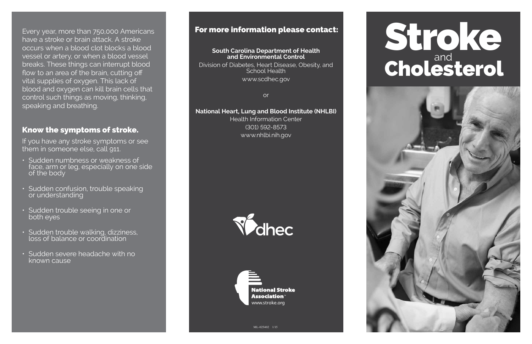Every year, more than 750,000 Americans have a stroke or brain attack. A stroke occurs when a blood clot blocks a blood vessel or artery, or when a blood vessel breaks. These things can interrupt blood flow to an area of the brain, cutting off vital supplies of oxygen. This lack of blood and oxygen can kill brain cells that control such things as moving, thinking, speaking and breathing.

#### Know the symptoms of stroke.

If you have any stroke symptoms or see them in someone else, call 911.

# Stroke Cholesterol



- Sudden numbness or weakness of face, arm or leg, especially on one side of the body
- Sudden confusion, trouble speaking or understanding
- Sudden trouble seeing in one or both eyes
- Sudden trouble walking, dizziness, loss of balance or coordination
- Sudden severe headache with no known cause

#### **South Carolina Department of Health and Environmental Control**

Division of Diabetes, Heart Disease, Obesity, and School Health www.scdhec.gov

or

#### **National Heart, Lung and Blood Institute (NHLBI)**

Health Information Center (301) 592-8573 www.nhlbi.nih.gov





### For more information please contact: